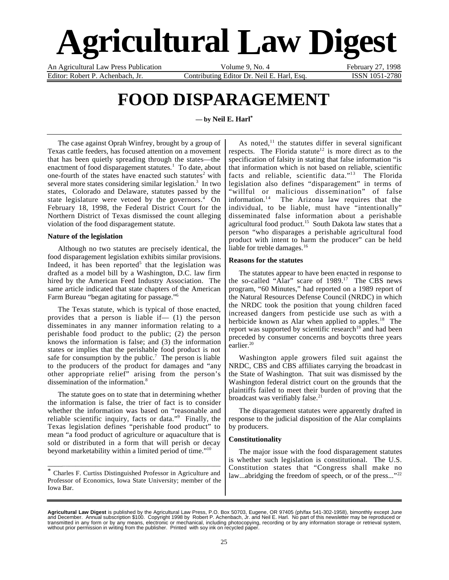# **Agricultural Law Digest**

An Agricultural Law Press Publication Volume 9, No. 4 February 27, 1998 Editor: Robert P. Achenbach, Jr. Contributing Editor Dr. Neil E. Harl, Esq. ISSN 1051-2780

## **FOOD DISPARAGEMENT**

**— by Neil E. Harl\***

The case against Oprah Winfrey, brought by a group of Texas cattle feeders, has focused attention on a movement that has been quietly spreading through the states—the enactment of food disparagement statutes.<sup>1</sup> To date, about one-fourth of the states have enacted such statutes<sup>2</sup> with several more states considering similar legislation.<sup>3</sup> In two states, Colorado and Delaware, statutes passed by the state legislature were vetoed by the governors.<sup>4</sup> On February 18, 1998, the Federal District Court for the Northern District of Texas dismissed the count alleging violation of the food disparagement statute.

#### **Nature of the legislation**

Although no two statutes are precisely identical, the food disparagement legislation exhibits similar provisions. Indeed, it has been reported<sup>5</sup> that the legislation was drafted as a model bill by a Washington, D.C. law firm hired by the American Feed Industry Association. The same article indicated that state chapters of the American Farm Bureau "began agitating for passage."6

The Texas statute, which is typical of those enacted, provides that a person is liable if— (1) the person disseminates in any manner information relating to a perishable food product to the public; (2) the person knows the information is false; and (3) the information states or implies that the perishable food product is not safe for consumption by the public.<sup>7</sup> The person is liable to the producers of the product for damages and "any other appropriate relief" arising from the person's dissemination of the information.<sup>8</sup>

The statute goes on to state that in determining whether the information is false, the trier of fact is to consider whether the information was based on "reasonable and reliable scientific inquiry, facts or data."<sup>9</sup> Finally, the Texas legislation defines "perishable food product" to mean "a food product of agriculture or aquaculture that is sold or distributed in a form that will perish or decay beyond marketability within a limited period of time."10

\* Charles F. Curtiss Distinguished Professor in Agriculture and Professor of Economics, Iowa State University; member of the Iowa Bar.

\_\_\_\_\_\_\_\_\_\_\_\_\_\_\_\_\_\_\_\_\_\_\_\_\_\_\_\_\_\_\_\_\_\_\_\_\_\_\_\_\_\_\_\_\_\_\_\_\_\_\_\_

As noted,<sup>11</sup> the statutes differ in several significant respects. The Florida statute<sup>12</sup> is more direct as to the specification of falsity in stating that false information "is that information which is not based on reliable, scientific facts and reliable, scientific data."13 The Florida legislation also defines "disparagement" in terms of "willful or malicious dissemination" of false<br>information.<sup>14</sup> The Arizona law requires that the The Arizona law requires that the individual, to be liable, must have "intentionally" disseminated false information about a perishable agricultural food product.<sup>15</sup> South Dakota law states that a person "who disparages a perishable agricultural food product with intent to harm the producer" can be held liable for treble damages.<sup>16</sup>

#### **Reasons for the statutes**

The statutes appear to have been enacted in response to the so-called "Alar" scare of 1989.<sup>17</sup> The CBS news program, "60 Minutes," had reported on a 1989 report of the Natural Resources Defense Council (NRDC) in which the NRDC took the position that young children faced increased dangers from pesticide use such as with a herbicide known as Alar when applied to apples.<sup>18</sup> The report was supported by scientific research<sup>19</sup> and had been preceded by consumer concerns and boycotts three years earlier. $20$ 

Washington apple growers filed suit against the NRDC, CBS and CBS affiliates carrying the broadcast in the State of Washington. That suit was dismissed by the Washington federal district court on the grounds that the plaintiffs failed to meet their burden of proving that the broadcast was verifiably false.<sup>21</sup>

The disparagement statutes were apparently drafted in response to the judicial disposition of the Alar complaints by producers.

### **Constitutionality**

The major issue with the food disparagement statutes is whether such legislation is constitutional. The U.S. Constitution states that "Congress shall make no law...abridging the freedom of speech, or of the press..."<sup>22</sup>

**Agricultural Law Digest** is published by the Agricultural Law Press, P.O. Box 50703, Eugene, OR 97405 (ph/fax 541-302-1958), bimonthly except June<br>and December. Annual subscription \$100. Copyright 1998 by Robert P. Achenb transmitted in any form or by any means, electronic or mechanical, including photocopying, recording or by any information storage or retrieval system,<br>without prior permission in writing from the publisher. Printed with